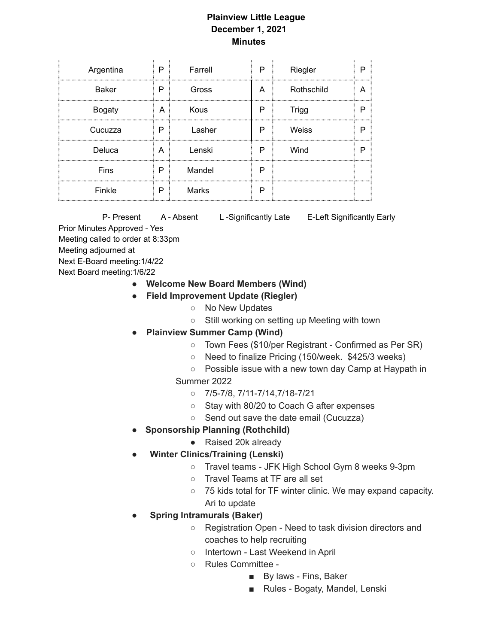## **Plainview Little League December 1, 2021 Minutes**

| Argentina     | P     | Farrell      | P | Riegler      |  |
|---------------|-------|--------------|---|--------------|--|
| <b>Baker</b>  | Р     | Gross        | A | Rothschild   |  |
| <b>Bogaty</b> | A<br> | Kous         | Р | <b>Trigg</b> |  |
| Cucuzza       | P     | Lasher       | P | Weiss        |  |
| Deluca        | A     | Lenski       | Р | Wind         |  |
| Fins          | P     | Mandel       | Р |              |  |
| Finkle        | P     | <b>Marks</b> | P |              |  |

P- Present A - Absent L-Significantly Late E-Left Significantly Early Prior Minutes Approved - Yes Meeting called to order at 8:33pm Meeting adjourned at Next E-Board meeting:1/4/22 Next Board meeting:1/6/22

- **● Welcome New Board Members (Wind)**
- **● Field Improvement Update (Riegler)**
	- No New Updates
	- Still working on setting up Meeting with town
- **● Plainview Summer Camp (Wind)**
	- Town Fees (\$10/per Registrant Confirmed as Per SR)
	- Need to finalize Pricing (150/week. \$425/3 weeks)
	- Possible issue with a new town day Camp at Haypath in
	- Summer 2022
		- 7/5-7/8, 7/11-7/14,7/18-7/21
		- Stay with 80/20 to Coach G after expenses
		- Send out save the date email (Cucuzza)
- **Sponsorship Planning (Rothchild)**
	- Raised 20k already
- **● Winter Clinics/Training (Lenski)**
	- Travel teams JFK High School Gym 8 weeks 9-3pm
	- Travel Teams at TF are all set
	- 75 kids total for TF winter clinic. We may expand capacity. Ari to update
- **Spring Intramurals (Baker)**
	- Registration Open Need to task division directors and coaches to help recruiting
	- Intertown Last Weekend in April
	- Rules Committee
		- By laws Fins, Baker
		- Rules Bogaty, Mandel, Lenski